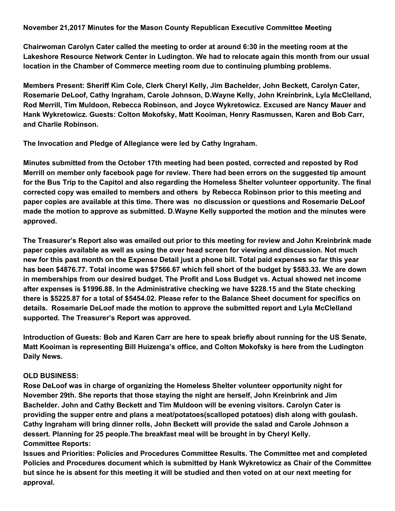**November 21,2017 Minutes for the Mason County Republican Executive Committee Meeting**

**Chairwoman Carolyn Cater called the meeting to order at around 6:30 in the meeting room at the Lakeshore Resource Network Center in Ludington. We had to relocate again this month from our usual location in the Chamber of Commerce meeting room due to continuing plumbing problems.**

**Members Present: Sheriff Kim Cole, Clerk Cheryl Kelly, Jim Bachelder, John Beckett, Carolyn Cater, Rosemarie DeLoof, Cathy Ingraham, Carole Johnson, D.Wayne Kelly, John Kreinbrink, Lyla McClelland, Rod Merrill, Tim Muldoon, Rebecca Robinson, and Joyce Wykretowicz. Excused are Nancy Mauer and Hank Wykretowicz. Guests: Colton Mokofsky, Matt Kooiman, Henry Rasmussen, Karen and Bob Carr, and Charlie Robinson.**

**The Invocation and Pledge of Allegiance were led by Cathy Ingraham.**

**Minutes submitted from the October 17th meeting had been posted, corrected and reposted by Rod Merrill on member only facebook page for review. There had been errors on the suggested tip amount for the Bus Trip to the Capitol and also regarding the Homeless Shelter volunteer opportunity. The final corrected copy was emailed to members and others by Rebecca Robinson prior to this meeting and paper copies are available at this time. There was no discussion or questions and Rosemarie DeLoof made the motion to approve as submitted. D.Wayne Kelly supported the motion and the minutes were approved.**

**The Treasurer's Report also was emailed out prior to this meeting for review and John Kreinbrink made paper copies available as well as using the over head screen for viewing and discussion. Not much** new for this past month on the Expense Detail just a phone bill. Total paid expenses so far this year has been \$4876.77. Total income was \$7566.67 which fell short of the budget by \$583.33. We are down **in memberships from our desired budget. The Profit and Loss Budget vs. Actual showed net income after expenses is \$1996.88. In the Administrative checking we have \$228.15 and the State checking** there is \$5225.87 for a total of \$5454.02. Please refer to the Balance Sheet document for specifics on **details. Rosemarie DeLoof made the motion to approve the submitted report and Lyla McClelland supported. The Treasurer's Report was approved.**

Introduction of Guests: Bob and Karen Carr are here to speak briefly about running for the US Senate, **Matt Kooiman is representing Bill Huizenga's office, and Colton Mokofsky is here from the Ludington Daily News.**

## **OLD BUSINESS:**

**Rose DeLoof was in charge of organizing the Homeless Shelter volunteer opportunity night for November 29th. She reports that those staying the night are herself, John Kreinbrink and Jim Bachelder. John and Cathy Beckett and Tim Muldoon will be evening visitors. Carolyn Cater is providing the supper entre and plans a meat/potatoes(scalloped potatoes) dish along with goulash. Cathy Ingraham will bring dinner rolls, John Beckett will provide the salad and Carole Johnson a dessert. Planning for 25 people.The breakfast meal will be brought in by Cheryl Kelly. Committee Reports:**

**Issues and Priorities: Policies and Procedures Committee Results. The Committee met and completed Policies and Procedures document which is submitted by Hank Wykretowicz as Chair of the Committee** but since he is absent for this meeting it will be studied and then voted on at our next meeting for **approval.**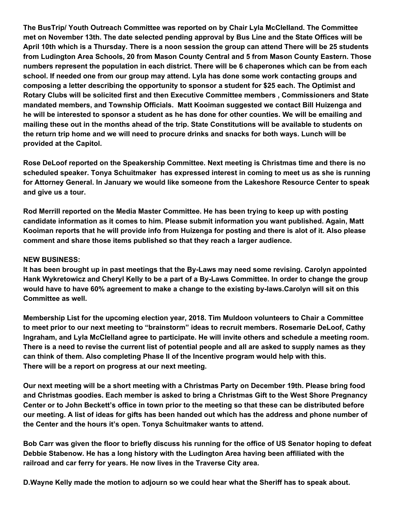**The BusTrip/ Youth Outreach Committee was reported on by Chair Lyla McClelland. The Committee met on November 13th. The date selected pending approval by Bus Line and the State Offices will be** April 10th which is a Thursday. There is a noon session the group can attend There will be 25 students **from Ludington Area Schools, 20 from Mason County Central and 5 from Mason County Eastern. Those numbers represent the population in each district. There will be 6 chaperones which can be from each school. If needed one from our group may attend. Lyla has done some work contacting groups and composing a letter describing the opportunity to sponsor a student for \$25 each. The Optimist and Rotary Clubs will be solicited first and then Executive Committee members , Commissioners and State mandated members, and Township Officials. Matt Kooiman suggested we contact Bill Huizenga and** he will be interested to sponsor a student as he has done for other counties. We will be emailing and mailing these out in the months ahead of the trip. State Constitutions will be available to students on the return trip home and we will need to procure drinks and snacks for both ways. Lunch will be **provided at the Capitol.**

**Rose DeLoof reported on the Speakership Committee. Next meeting is Christmas time and there is no scheduled speaker. Tonya Schuitmaker has expressed interest in coming to meet us as she is running for Attorney General. In January we would like someone from the Lakeshore Resource Center to speak and give us a tour.**

**Rod Merrill reported on the Media Master Committee. He has been trying to keep up with posting candidate information as it comes to him. Please submit information you want published. Again, Matt** Kooiman reports that he will provide info from Huizenga for posting and there is alot of it. Also please **comment and share those items published so that they reach a larger audience.**

## **NEW BUSINESS:**

**It has been brought up in past meetings that the By-Laws may need some revising. Carolyn appointed** Hank Wykretowicz and Cheryl Kelly to be a part of a By-Laws Committee. In order to change the group **would have to have 60% agreement to make a change to the existing by-laws.Carolyn will sit on this Committee as well.**

**Membership List for the upcoming election year, 2018. Tim Muldoon volunteers to Chair a Committee to meet prior to our next meeting to "brainstorm" ideas to recruit members. Rosemarie DeLoof, Cathy Ingraham, and Lyla McClelland agree to participate. He will invite others and schedule a meeting room.** There is a need to revise the current list of potential people and all are asked to supply names as they **can think of them. Also completing Phase II of the Incentive program would help with this. There will be a report on progress at our next meeting.**

Our next meeting will be a short meeting with a Christmas Party on December 19th. Please bring food **and Christmas goodies. Each member is asked to bring a Christmas Gift to the West Shore Pregnancy** Center or to John Beckett's office in town prior to the meeting so that these can be distributed before our meeting. A list of ideas for gifts has been handed out which has the address and phone number of **the Center and the hours it's open. Tonya Schuitmaker wants to attend.**

Bob Carr was given the floor to briefly discuss his running for the office of US Senator hoping to defeat **Debbie Stabenow. He has a long history with the Ludington Area having been affiliated with the railroad and car ferry for years. He now lives in the Traverse City area.**

**D.Wayne Kelly made the motion to adjourn so we could hear what the Sheriff has to speak about.**